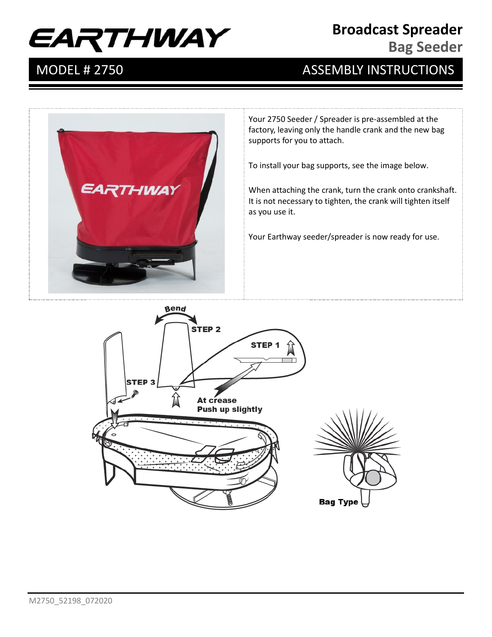# EARTHWAY

#### **Broadcast Spreader**

**Bag Seeder**

# MODEL # 2750 ASSEMBLY INSTRUCTIONS



Your 2750 Seeder / Spreader is pre-assembled at the factory, leaving only the handle crank and the new bag supports for you to attach.

To install your bag supports, see the image below.

When attaching the crank, turn the crank onto crankshaft. It is not necessary to tighten, the crank will tighten itself as you use it.

Your Earthway seeder/spreader is now ready for use.

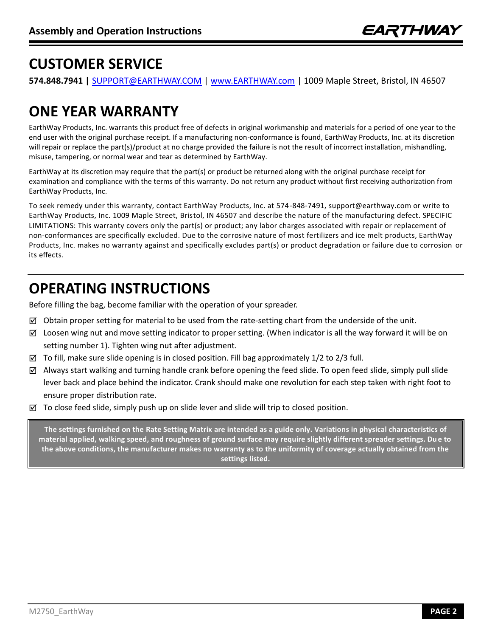# **CUSTOMER SERVICE**

**574.848.7941 |** SUPPORT@EARTHWAY.COM | www.EARTHWAY.com | 1009 Maple Street, Bristol, IN 46507

# **ONE YEAR WARRANTY**

EarthWay Products, Inc. warrants this product free of defects in original workmanship and materials for a period of one year to the end user with the original purchase receipt. If a manufacturing non-conformance is found, EarthWay Products, Inc. at its discretion will repair or replace the part(s)/product at no charge provided the failure is not the result of incorrect installation, mishandling, misuse, tampering, or normal wear and tear as determined by EarthWay.

EarthWay at its discretion may require that the part(s) or product be returned along with the original purchase receipt for examination and compliance with the terms of this warranty. Do not return any product without first receiving authorization from EarthWay Products, Inc.

To seek remedy under this warranty, contact EarthWay Products, Inc. at 574 -848-7491, support@earthway.com or write to EarthWay Products, Inc. 1009 Maple Street, Bristol, IN 46507 and describe the nature of the manufacturing defect. SPECIFIC LIMITATIONS: This warranty covers only the part(s) or product; any labor charges associated with repair or replacement of non-conformances are specifically excluded. Due to the corrosive nature of most fertilizers and ice melt products, EarthWay Products, Inc. makes no warranty against and specifically excludes part(s) or product degradation or failure due to corrosion or its effects.

# **OPERATING INSTRUCTIONS**

Before filling the bag, become familiar with the operation of your spreader.

- $\boxtimes$  Obtain proper setting for material to be used from the rate-setting chart from the underside of the unit.
- $\boxtimes$  Loosen wing nut and move setting indicator to proper setting. (When indicator is all the way forward it will be on setting number 1). Tighten wing nut after adjustment.
- $\boxtimes$  To fill, make sure slide opening is in closed position. Fill bag approximately 1/2 to 2/3 full.
- ☑ Always start walking and turning handle crank before opening the feed slide. To open feed slide, simply pull slide lever back and place behind the indicator. Crank should make one revolution for each step taken with right foot to ensure proper distribution rate.
- $\boxtimes$  To close feed slide, simply push up on slide lever and slide will trip to closed position.

**The settings furnished on the Rate Setting Matrix are intended as a guide only. Variations in physical characteristics of material applied, walking speed, and roughness of ground surface may require slightly different spreader settings. Du e to the above conditions, the manufacturer makes no warranty as to the uniformity of coverage actually obtained from the settings listed.**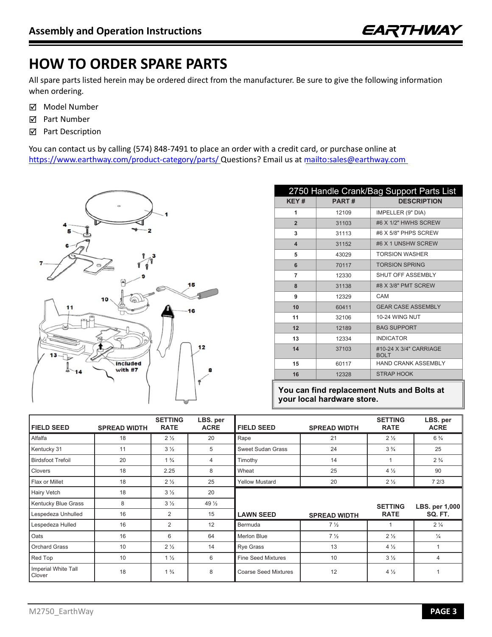# **HOW TO ORDER SPARE PARTS**

All spare parts listed herein may be ordered direct from the manufacturer. Be sure to give the following information when ordering.

- ☑ Model Number
- ☑ Part Number
- ☑ Part Description

You can contact us by calling (574) 848-7491 to place an order with a credit card, or purchase online at https://www.earthway.com/product-category/parts/ Questions? Email us at mailto:sales@earthway.com



| 2750 Handle Crank/Bag Support Parts List |              |                                       |  |  |  |  |
|------------------------------------------|--------------|---------------------------------------|--|--|--|--|
| KEY#                                     | <b>PART#</b> | <b>DESCRIPTION</b>                    |  |  |  |  |
| 1                                        | 12109        | IMPELLER (9" DIA)                     |  |  |  |  |
| $\overline{2}$                           | 31103        | #6 X 1/2" HWHS SCREW                  |  |  |  |  |
| 3                                        | 31113        | #6 X 5/8" PHPS SCREW                  |  |  |  |  |
| 4                                        | 31152        | #6 X 1 UNSHW SCREW                    |  |  |  |  |
| 5                                        | 43029        | <b>TORSION WASHER</b>                 |  |  |  |  |
| 6                                        | 70117        | <b>TORSION SPRING</b>                 |  |  |  |  |
| 7                                        | 12330        | SHUT OFF ASSEMBLY                     |  |  |  |  |
| 8                                        | 31138        | #8 X 3/8" PMT SCREW                   |  |  |  |  |
| 9                                        | 12329        | CAM                                   |  |  |  |  |
| 10                                       | 60411        | <b>GEAR CASE ASSEMBLY</b>             |  |  |  |  |
| 11                                       | 32106        | <b>10-24 WING NUT</b>                 |  |  |  |  |
| 12                                       | 12189        | <b>BAG SUPPORT</b>                    |  |  |  |  |
| 13                                       | 12334        | <b>INDICATOR</b>                      |  |  |  |  |
| 14                                       | 37103        | #10-24 X 3/4" CARRIAGE<br><b>BOLT</b> |  |  |  |  |
| 15                                       | 60117        | HAND CRANK ASSEMBLY                   |  |  |  |  |
| 16                                       | 12328        | <b>STRAP HOOK</b>                     |  |  |  |  |

**You can find replacement Nuts and Bolts at your local hardware store.**

| <b>FIELD SEED</b>             | <b>SPREAD WIDTH</b> | <b>SETTING</b><br><b>RATE</b> | LBS. per<br><b>ACRE</b> | <b>FIELD SEED</b>           | <b>SPREAD WIDTH</b> | <b>SETTING</b><br><b>RATE</b> | LBS. per<br><b>ACRE</b> |
|-------------------------------|---------------------|-------------------------------|-------------------------|-----------------------------|---------------------|-------------------------------|-------------------------|
| Alfalfa                       | 18                  | $2\frac{1}{2}$                | 20                      | Rape                        | 21                  | $2\frac{1}{2}$                | $6\frac{3}{4}$          |
| Kentucky 31                   | 11                  | $3\frac{1}{2}$                | 5                       | Sweet Sudan Grass           | 24                  | $3\frac{3}{4}$                | 25                      |
| <b>Birdsfoot Trefoil</b>      | 20                  | $1\frac{3}{4}$                | 4                       | Timothy                     | 14                  |                               | $2\frac{3}{4}$          |
| Clovers                       | 18                  | 2.25                          | 8                       | Wheat                       | 25                  | $4\frac{1}{2}$                | 90                      |
| Flax or Millet                | 18                  | $2\frac{1}{2}$                | 25                      | <b>Yellow Mustard</b>       | 20                  | $2\frac{1}{2}$                | 72/3                    |
| Hairy Vetch                   | 18                  | $3\frac{1}{2}$                | 20                      |                             |                     |                               |                         |
| Kentucky Blue Grass           | 8                   | $3\frac{1}{2}$                | 49 $\frac{1}{2}$        |                             |                     | <b>SETTING</b>                | LBS. per 1,000          |
| Lespedeza Unhulled            | 16                  | $\overline{2}$                | 15                      | <b>LAWN SEED</b>            | <b>SPREAD WIDTH</b> | <b>RATE</b>                   | <b>SQ. FT.</b>          |
| Lespedeza Hulled              | 16                  | $\overline{2}$                | 12                      | Bermuda                     | $7\frac{1}{2}$      |                               | $2\frac{1}{4}$          |
| Oats                          | 16                  | 6                             | 64                      | <b>Merlon Blue</b>          | $7\frac{1}{2}$      | $2\frac{1}{2}$                | $\frac{1}{4}$           |
| <b>Orchard Grass</b>          | 10                  | $2\frac{1}{2}$                | 14                      | <b>Rye Grass</b>            | 13                  | $4\frac{1}{2}$                |                         |
| Red Top                       | 10                  | $1\frac{1}{2}$                | 6                       | <b>Fine Seed Mixtures</b>   | 10                  | $3\frac{1}{2}$                | $\overline{4}$          |
| Imperial White Tall<br>Clover | 18                  | $1\frac{3}{4}$                | 8                       | <b>Coarse Seed Mixtures</b> | 12                  | $4\frac{1}{2}$                |                         |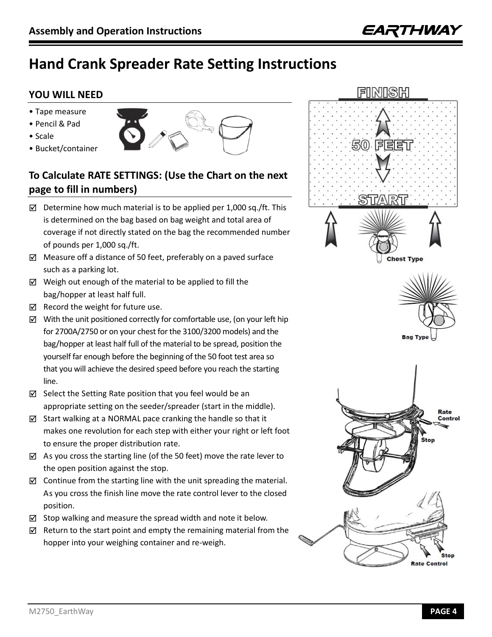# **Hand Crank Spreader Rate Setting Instructions**

#### **YOU WILL NEED**

- Tape measure
- Pencil & Pad
- Scale
- Bucket/container



#### **To Calculate RATE SETTINGS: (Use the Chart on the next page to fill in numbers)**

- ☑ Determine how much material is to be applied per 1,000 sq./ft. This is determined on the bag based on bag weight and total area of coverage if not directly stated on the bag the recommended number of pounds per 1,000 sq./ft.
- ☑ Measure off a distance of 50 feet, preferably on a paved surface such as a parking lot.
- ☑ Weigh out enough of the material to be applied to fill the bag/hopper at least half full.
- ☑ Record the weight for future use.
- ☑ With the unit positioned correctly for comfortable use, (on your left hip for 2700A/2750 or on your chest for the 3100/3200 models) and the bag/hopper at least half full of the material to be spread, position the yourself far enough before the beginning of the 50 foot test area so that you will achieve the desired speed before you reach the starting line.
- ☑ Select the Setting Rate position that you feel would be an appropriate setting on the seeder/spreader (start in the middle).
- ☑ Start walking at a NORMAL pace cranking the handle so that it makes one revolution for each step with either your right or left foot to ensure the proper distribution rate.
- ☑ As you cross the starting line (of the 50 feet) move the rate lever to the open position against the stop.
- ☑ Continue from the starting line with the unit spreading the material. As you cross the finish line move the rate control lever to the closed position.
- ☑ Stop walking and measure the spread width and note it below.
- ☑ Return to the start point and empty the remaining material from the hopper into your weighing container and re-weigh.